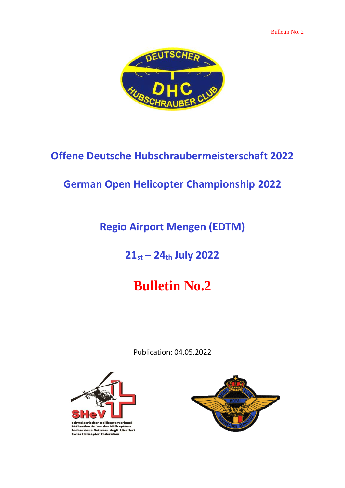

# **Offene Deutsche Hubschraubermeisterschaft 2022**

### **German Open Helicopter Championship 2022**

## **Regio Airport Mengen (EDTM)**

## **21st – 24th July 2022**

# **Bulletin No.2**

Publication: 04.05.2022



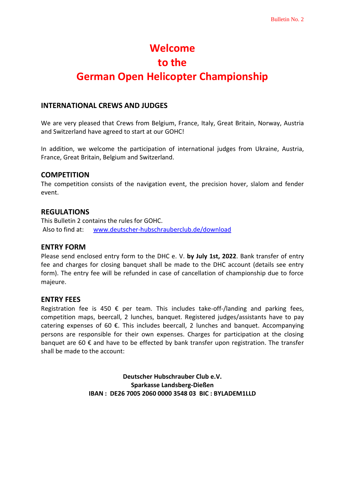# **Welcome to the German Open Helicopter Championship**

#### **INTERNATIONAL CREWS AND JUDGES**

We are very pleased that Crews from Belgium, France, Italy, Great Britain, Norway, Austria and Switzerland have agreed to start at our GOHC!

In addition, we welcome the participation of international judges from Ukraine, Austria, France, Great Britain, Belgium and Switzerland.

#### **COMPETITION**

The competition consists of the navigation event, the precision hover, slalom and fender event.

#### **REGULATIONS**

This Bulletin 2 contains the rules for GOHC. Also to find at: [www.deutscher-hubschrauberclub.de/download](http://www.deutscher-hubschrauberclub.de/download)

#### **ENTRY FORM**

Please send enclosed entry form to the DHC e. V. **by July 1st, 2022**. Bank transfer of entry fee and charges for closing banquet shall be made to the DHC account (details see entry form). The entry fee will be refunded in case of cancellation of championship due to force majeure.

#### **ENTRY FEES**

Registration fee is 450  $\epsilon$  per team. This includes take-off-/landing and parking fees, competition maps, beercall, 2 lunches, banquet. Registered judges/assistants have to pay catering expenses of 60  $\epsilon$ . This includes beercall, 2 lunches and banquet. Accompanying persons are responsible for their own expenses. Charges for participation at the closing banquet are 60  $\epsilon$  and have to be effected by bank transfer upon registration. The transfer shall be made to the account:

> **Deutscher Hubschrauber Club e.V. Sparkasse Landsberg-Dießen IBAN : DE26 7005 2060 0000 3548 03 BIC : BYLADEM1LLD**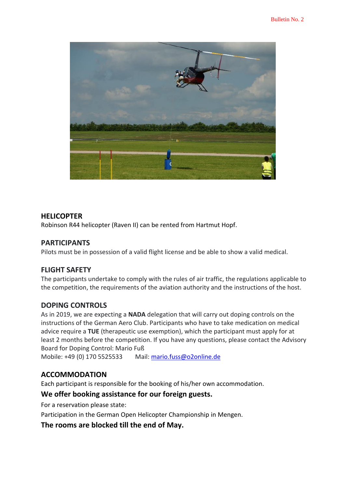

#### **HELICOPTER**

Robinson R44 helicopter (Raven II) can be rented from Hartmut Hopf.

#### **PARTICIPANTS**

Pilots must be in possession of a valid flight license and be able to show a valid medical.

#### **FLIGHT SAFETY**

The participants undertake to comply with the rules of air traffic, the regulations applicable to the competition, the requirements of the aviation authority and the instructions of the host.

#### **DOPING CONTROLS**

As in 2019, we are expecting a **NADA** delegation that will carry out doping controls on the instructions of the German Aero Club. Participants who have to take medication on medical advice require a **TUE** (therapeutic use exemption), which the participant must apply for at least 2 months before the competition. If you have any questions, please contact the Advisory Board for Doping Control: Mario Fuß

Mobile: +49 (0) 170 5525533 Mail[: mario.fuss@o2online.de](mailto:mario.fuss@o2online.de)

#### **ACCOMMODATION**

Each participant is responsible for the booking of his/her own accommodation.

#### **We offer booking assistance for our foreign guests.**

For a reservation please state:

Participation in the German Open Helicopter Championship in Mengen.

**The rooms are blocked till the end of May.**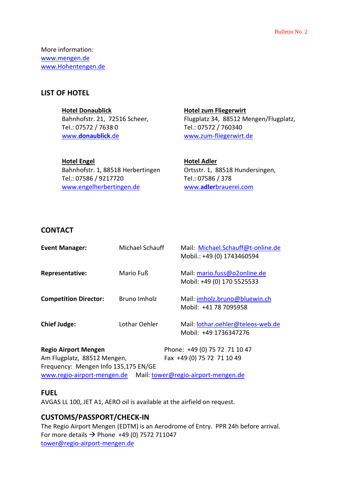More information: [www.mengen.de](http://www.mengen.de/) [www.Hohentengen.de](http://www.hohentengen.de/)

#### **LIST OF HOTEL**

#### **Hotel Donaublick**

Bahnhofstr. 21, 72516 Scheer, Tel.: 07572 / 7638 0 www.**[donaublick](http://www.donaublick.de/)**.de

**Hotel Engel** Bahnhofstr. 1, 88518 Herbertingen Tel.: 07586 / 9217720 [www.engelherbertingen.de](http://www.engelherbertingen.de/)

**[Hotel zum Fliegerwirt](http://www.landratsamt-sigmaringen.de/tourismusinfo/index.cfm?v=510&s=&k=430,445,440&d=200&a=18&u=78&sr=1&mr=20&CFID=1562685&CFTOKEN=86809306&p=1)** Flugplatz 34, 88512 Mengen/Flugplatz, Tel.: 07572 / 760340 [www.zum-fliegerwirt.de](http://www.zum-fliegerwirt.de/)

**Hotel Adler** Ortsstr. 1, 88518 Hundersingen, Tel.: 07586 / 378 www.**adler**[brauerei.com](http://www.adlerbrauerei.com/)

#### **CONTACT**

| <b>Event Manager:</b>        | Michael Schauff | Mail: Michael.Schauff@t-online.de<br>Mobil.: +49 (0) 1743460594 |
|------------------------------|-----------------|-----------------------------------------------------------------|
| Representative:              | Mario Fuß       | Mail: mario.fuss@o2online.de<br>Mobil: +49 (0) 170 5525533      |
| <b>Competition Director:</b> | Bruno Imholz    | Mail: imholz.bruno@bluewin.ch<br>Mobil: +41 78 7095958          |
| <b>Chief Judge:</b>          | Lothar Oehler   | Mail: lothar.oehler@teleos-web.de<br>Mobil: +49 1736347276      |

**Regio Airport Mengen** Phone: +49 (0) 75 72 71 10 47 Am Flugplatz, 88512 Mengen, Fax +49 (0) 75 72 71 10 49 Frequency: Mengen Info 135,175 EN/GE [www.regio-airport-mengen.de](http://www.regio-airport-mengen.de/) Mail: [tower@regio-airport-mengen.de](mailto:tower@regio-airport-mengen.de)

#### **FUEL**

AVGAS LL 100, JET A1, AERO oil is available at the airfield on request.

#### **CUSTOMS/PASSPORT/CHECK-IN**

The Regio Airport Mengen (EDTM) is an Aerodrome of Entry. PPR 24h before arrival. For more details  $\rightarrow$  Phone +49 (0) 7572 711047 [tower@regio-airport-mengen.de](javascript:linkTo_UnCryptMailto()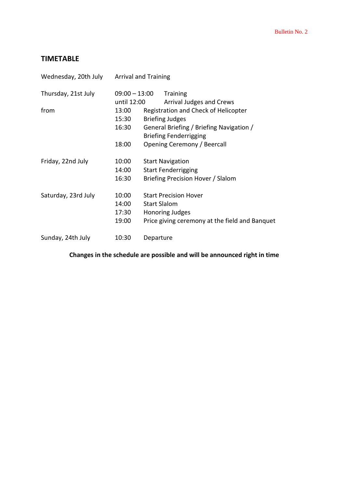### **TIMETABLE**

| Wednesday, 20th July |                 | <b>Arrival and Training</b>              |                                                |  |  |
|----------------------|-----------------|------------------------------------------|------------------------------------------------|--|--|
| Thursday, 21st July  | $09:00 - 13:00$ |                                          | <b>Training</b>                                |  |  |
|                      | until 12:00     |                                          | <b>Arrival Judges and Crews</b>                |  |  |
| from                 | 13:00           |                                          | Registration and Check of Helicopter           |  |  |
|                      | 15:30           |                                          | <b>Briefing Judges</b>                         |  |  |
|                      | 16:30           | General Briefing / Briefing Navigation / |                                                |  |  |
|                      |                 |                                          | <b>Briefing Fenderrigging</b>                  |  |  |
|                      | 18:00           |                                          | Opening Ceremony / Beercall                    |  |  |
| Friday, 22nd July    | 10:00           |                                          | <b>Start Navigation</b>                        |  |  |
|                      | 14:00           |                                          | <b>Start Fenderrigging</b>                     |  |  |
|                      | 16:30           |                                          | Briefing Precision Hover / Slalom              |  |  |
| Saturday, 23rd July  | 10:00           |                                          | <b>Start Precision Hover</b>                   |  |  |
|                      | 14:00           |                                          | <b>Start Slalom</b>                            |  |  |
|                      | 17:30           |                                          | <b>Honoring Judges</b>                         |  |  |
|                      | 19:00           |                                          | Price giving ceremony at the field and Banquet |  |  |
| Sunday, 24th July    | 10:30           |                                          | Departure                                      |  |  |

### **Changes in the schedule are possible and will be announced right in time**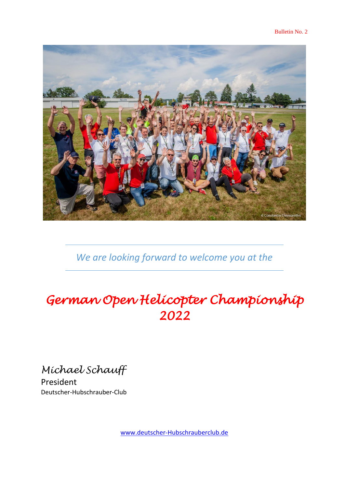

*We are looking forward to welcome you at the*

# *German Open Helicopter Championship 2022*

*Michael Schauff*

President Deutscher-Hubschrauber-Club

[www.deutscher-Hubschrauberclub.de](http://www.deutscher-hubschrauberclub.de/)